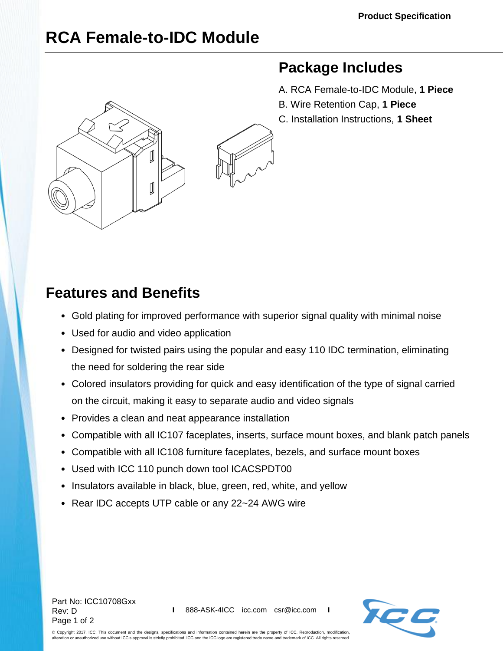## **RCA Female-to-IDC Module**



## **Package Includes**

- A. RCA Female-to-IDC Module, **1 Piece**
- B. Wire Retention Cap, **1 Piece**
- C. Installation Instructions, **1 Sheet**

## **Features and Benefits**

- Gold plating for improved performance with superior signal quality with minimal noise
- Used for audio and video application
- Designed for twisted pairs using the popular and easy 110 IDC termination, eliminating the need for soldering the rear side
- Colored insulators providing for quick and easy identification of the type of signal carried on the circuit, making it easy to separate audio and video signals
- Provides a clean and neat appearance installation
- Compatible with all IC107 faceplates, inserts, surface mount boxes, and blank patch panels
- Compatible with all IC108 furniture faceplates, bezels, and surface mount boxes
- Used with ICC 110 punch down tool ICACSPDT00
- Insulators available in black, blue, green, red, white, and yellow
- Rear IDC accepts UTP cable or any 22~24 AWG wire

Part No: ICC10708Gxx Rev: D Page 1 of 2



© Copyright 2017, ICC. This document and the designs, specifications and information contained herein are the property of ICC. Reproduction, modification, alteration or unauthorized use without ICC's approval is strictly prohibited. ICC and the ICC logo are registered trade name and trademark of ICC. All rights reserved.